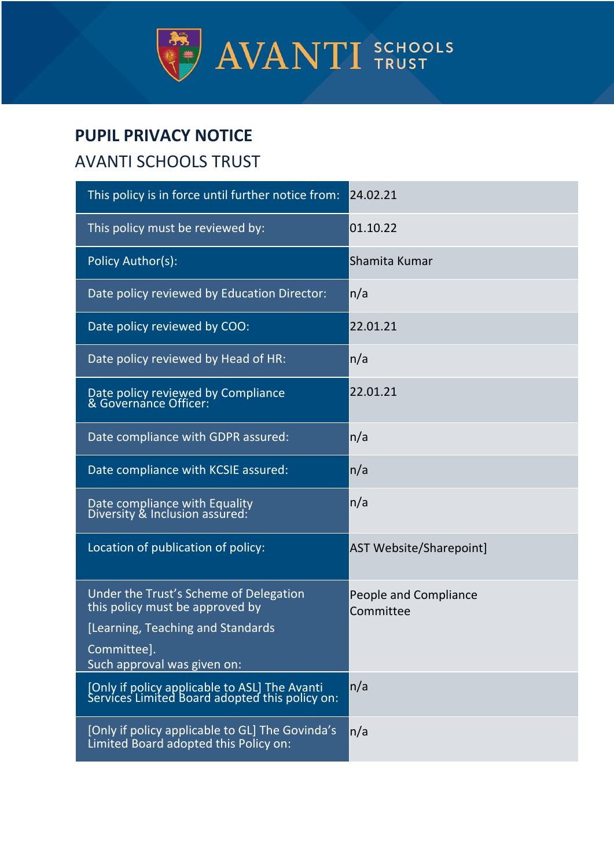

# **PUPIL PRIVACY NOTICE**

# AVANTI SCHOOLS TRUST

| This policy is in force until further notice from:                                                                                                           | 24.02.21                           |
|--------------------------------------------------------------------------------------------------------------------------------------------------------------|------------------------------------|
| This policy must be reviewed by:                                                                                                                             | 01.10.22                           |
| Policy Author(s):                                                                                                                                            | Shamita Kumar                      |
| Date policy reviewed by Education Director:                                                                                                                  | n/a                                |
| Date policy reviewed by COO:                                                                                                                                 | 22.01.21                           |
| Date policy reviewed by Head of HR:                                                                                                                          | n/a                                |
| Date policy reviewed by Compliance<br>& Governance Officer:                                                                                                  | 22.01.21                           |
| Date compliance with GDPR assured:                                                                                                                           | n/a                                |
| Date compliance with KCSIE assured:                                                                                                                          | n/a                                |
| Date compliance with Equality<br>Diversity & Inclusion assured:                                                                                              | n/a                                |
| Location of publication of policy:                                                                                                                           | <b>AST Website/Sharepoint]</b>     |
| Under the Trust's Scheme of Delegation<br>this policy must be approved by<br>[Learning, Teaching and Standards<br>Committee].<br>Such approval was given on: | People and Compliance<br>Committee |
| [Only if policy applicable to ASL] The Avanti<br>Services Limited Board adopted this policy on:                                                              | n/a                                |
| [Only if policy applicable to GL] The Govinda's<br>Limited Board adopted this Policy on:                                                                     | n/a                                |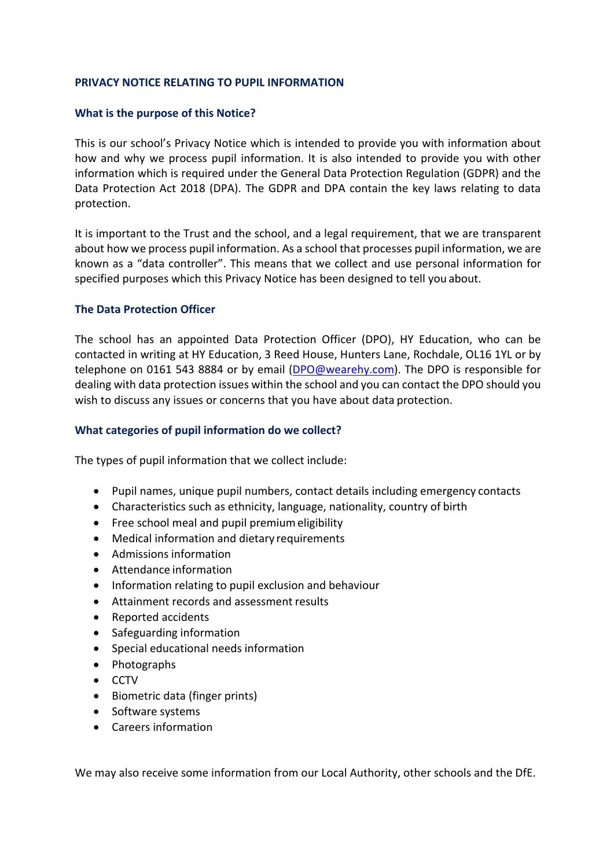#### **PRIVACY NOTICE RELATING TO PUPIL INFORMATION**

#### **What is the purpose of this Notice?**

This is our school's Privacy Notice which is intended to provide you with information about how and why we process pupil information. It is also intended to provide you with other information which is required under the General Data Protection Regulation (GDPR) and the Data Protection Act 2018 (DPA). The GDPR and DPA contain the key laws relating to data protection.

It is important to the Trust and the school, and a legal requirement, that we are transparent about how we process pupil information. As a school that processes pupil information, we are known as a "data controller". This means that we collect and use personal information for specified purposes which this Privacy Notice has been designed to tell you about.

#### **The Data Protection Officer**

The school has an appointed Data Protection Officer (DPO), HY Education, who can be contacted in writing at HY Education, 3 Reed House, Hunters Lane, Rochdale, OL16 1YL or by telephone on 0161 543 8884 or by email (DPO@wearehy.com). The DPO is responsible for dealing with data protection issues within the school and you can contact the DPO should you wish to discuss any issues or concerns that you have about data protection.

#### **What categories of pupil information do we collect?**

The types of pupil information that we collect include:

- Pupil names, unique pupil numbers, contact details including emergency contacts
- Characteristics such as ethnicity, language, nationality, country of birth
- Free school meal and pupil premium eligibility
- Medical information and dietary requirements
- Admissions information
- Attendance information
- Information relating to pupil exclusion and behaviour
- Attainment records and assessment results
- Reported accidents
- Safeguarding information
- Special educational needs information
- Photographs
- CCTV
- Biometric data (finger prints)
- Software systems
- Careers information

We may also receive some information from our Local Authority, other schools and the DfE.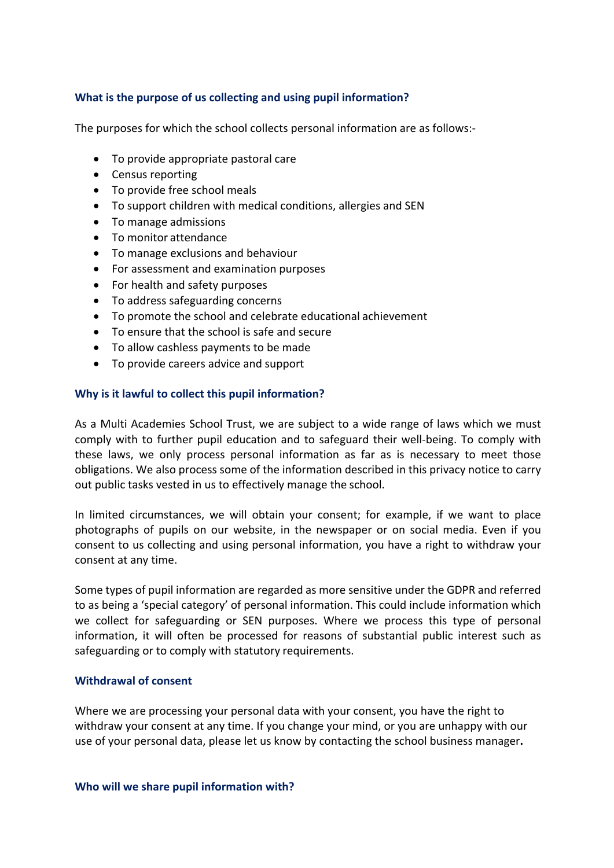# **What is the purpose of us collecting and using pupil information?**

The purposes for which the school collects personal information are as follows:-

- To provide appropriate pastoral care
- Census reporting
- To provide free school meals
- To support children with medical conditions, allergies and SEN
- To manage admissions
- To monitor attendance
- To manage exclusions and behaviour
- For assessment and examination purposes
- For health and safety purposes
- To address safeguarding concerns
- To promote the school and celebrate educational achievement
- To ensure that the school is safe and secure
- To allow cashless payments to be made
- To provide careers advice and support

# **Why is it lawful to collect this pupil information?**

As a Multi Academies School Trust, we are subject to a wide range of laws which we must comply with to further pupil education and to safeguard their well-being. To comply with these laws, we only process personal information as far as is necessary to meet those obligations. We also process some of the information described in this privacy notice to carry out public tasks vested in us to effectively manage the school.

In limited circumstances, we will obtain your consent; for example, if we want to place photographs of pupils on our website, in the newspaper or on social media. Even if you consent to us collecting and using personal information, you have a right to withdraw your consent at any time.

Some types of pupil information are regarded as more sensitive under the GDPR and referred to as being a 'special category' of personal information. This could include information which we collect for safeguarding or SEN purposes. Where we process this type of personal information, it will often be processed for reasons of substantial public interest such as safeguarding or to comply with statutory requirements.

# **Withdrawal of consent**

Where we are processing your personal data with your consent, you have the right to withdraw your consent at any time. If you change your mind, or you are unhappy with our use of your personal data, please let us know by contacting the school business manager**.**

#### **Who will we share pupil information with?**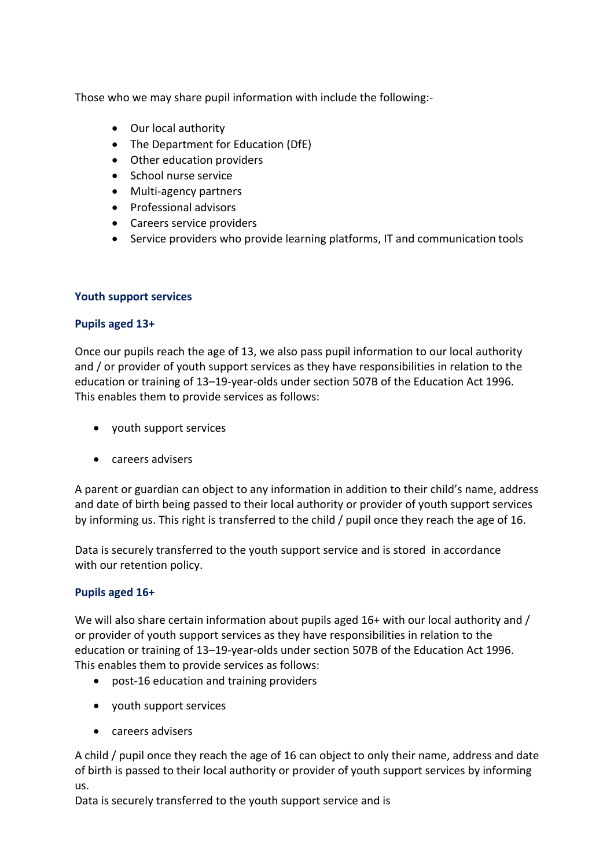Those who we may share pupil information with include the following:-

- Our local authority
- The Department for Education (DfE)
- Other education providers
- School nurse service
- Multi-agency partners
- Professional advisors
- Careers service providers
- Service providers who provide learning platforms, IT and communication tools

# **Youth support services**

# **Pupils aged 13+**

Once our pupils reach the age of 13, we also pass pupil information to our local authority and / or provider of youth support services as they have responsibilities in relation to the education or training of 13–19-year-olds under section 507B of the Education Act 1996. This enables them to provide services as follows:

- youth support services
- careers advisers

A parent or guardian can object to any information in addition to their child's name, address and date of birth being passed to their local authority or provider of youth support services by informing us. This right is transferred to the child / pupil once they reach the age of 16.

Data is securely transferred to the youth support service and is stored in accordance with our retention policy.

# **Pupils aged 16+**

We will also share certain information about pupils aged 16+ with our local authority and / or provider of youth support services as they have responsibilities in relation to the education or training of 13–19-year-olds under section 507B of the Education Act 1996. This enables them to provide services as follows:

- post-16 education and training providers
- youth support services
- careers advisers

A child / pupil once they reach the age of 16 can object to only their name, address and date of birth is passed to their local authority or provider of youth support services by informing us.

Data is securely transferred to the youth support service and is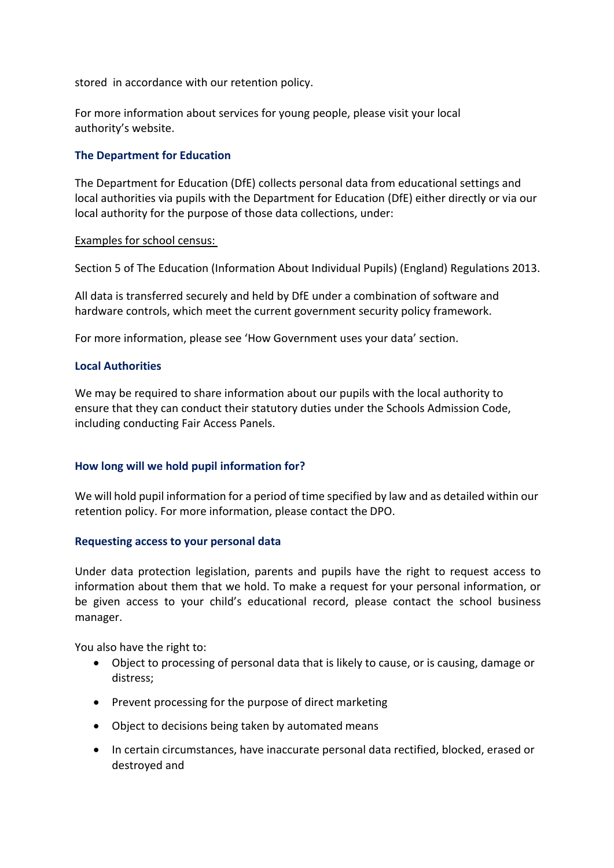stored in accordance with our retention policy.

For more information about services for young people, please visit your local authority's website.

# **The Department for Education**

The Department for Education (DfE) collects personal data from educational settings and local authorities via pupils with the Department for Education (DfE) either directly or via our local authority for the purpose of those data collections, under:

#### Examples for school census:

Section 5 of The Education (Information About Individual Pupils) (England) Regulations 2013.

All data is transferred securely and held by DfE under a combination of software and hardware controls, which meet the current government security policy framework.

For more information, please see 'How Government uses your data' section.

# **Local Authorities**

We may be required to share information about our pupils with the local authority to ensure that they can conduct their statutory duties under the Schools Admission Code, including conducting Fair Access Panels.

# **How long will we hold pupil information for?**

We will hold pupil information for a period of time specified by law and as detailed within our retention policy. For more information, please contact the DPO.

# **Requesting access to your personal data**

Under data protection legislation, parents and pupils have the right to request access to information about them that we hold. To make a request for your personal information, or be given access to your child's educational record, please contact the school business manager.

You also have the right to:

- Object to processing of personal data that is likely to cause, or is causing, damage or distress;
- Prevent processing for the purpose of direct marketing
- Object to decisions being taken by automated means
- In certain circumstances, have inaccurate personal data rectified, blocked, erased or destroyed and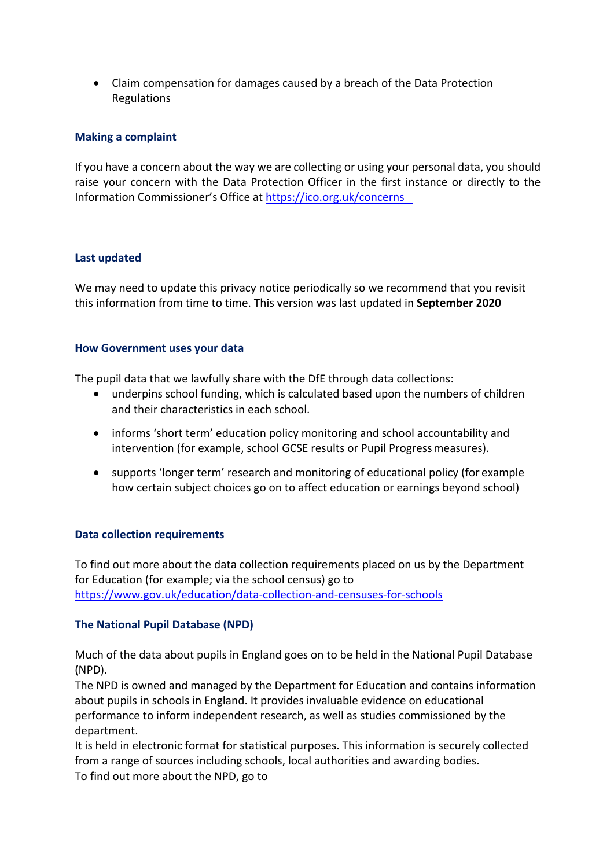• Claim compensation for damages caused by a breach of the Data Protection Regulations

# **Making a complaint**

If you have a concern about the way we are collecting or using your personal data, you should raise your concern with the Data Protection Officer in the first instance or directly to the Information Commissioner's Office at https://ico.org.uk/concerns

# **Last updated**

We may need to update this privacy notice periodically so we recommend that you revisit this information from time to time. This version was last updated in **September 2020**

# **How Government uses your data**

The pupil data that we lawfully share with the DfE through data collections:

- underpins school funding, which is calculated based upon the numbers of children and their characteristics in each school.
- informs 'short term' education policy monitoring and school accountability and intervention (for example, school GCSE results or Pupil Progressmeasures).
- supports 'longer term' research and monitoring of educational policy (for example how certain subject choices go on to affect education or earnings beyond school)

# **Data collection requirements**

To find out more about the data collection requirements placed on us by the Department for Education (for example; via the school census) go to https://www.gov.uk/education/data-collection-and-censuses-for-schools

# **The National Pupil Database (NPD)**

Much of the data about pupils in England goes on to be held in the National Pupil Database (NPD).

The NPD is owned and managed by the Department for Education and contains information about pupils in schools in England. It provides invaluable evidence on educational performance to inform independent research, as well as studies commissioned by the department.

It is held in electronic format for statistical purposes. This information is securely collected from a range of sources including schools, local authorities and awarding bodies. To find out more about the NPD, go to